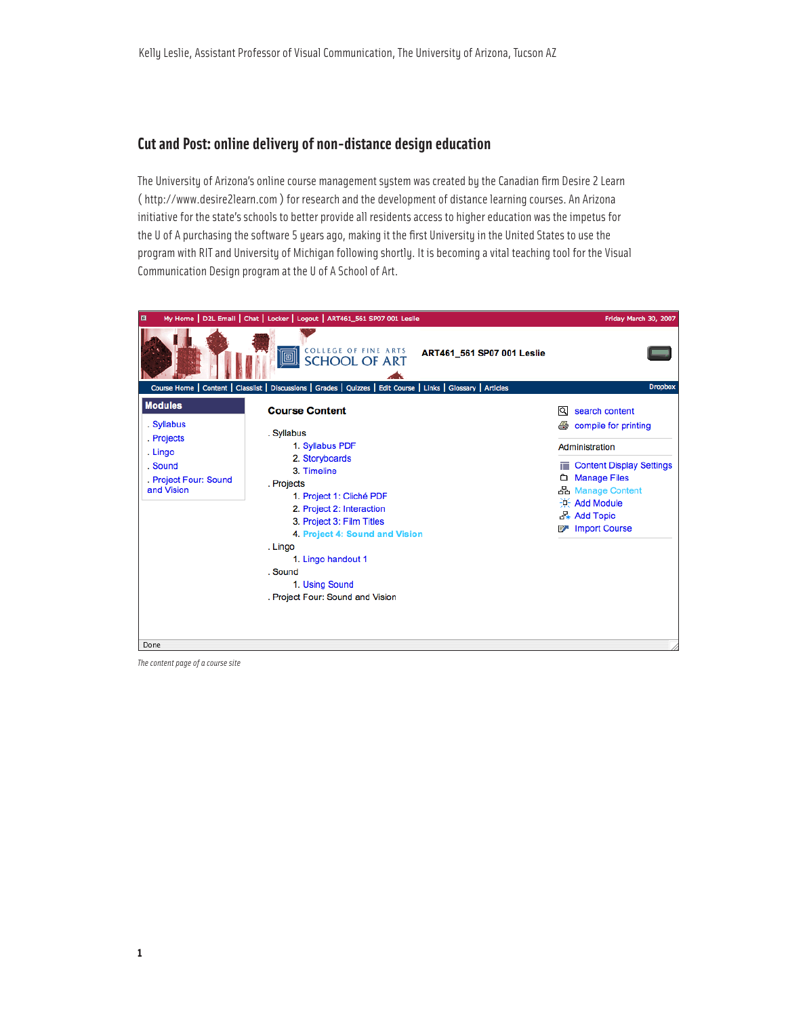## **Cut and Post: online delivery of non-distance design education**

The University of Arizona's online course management system was created by the Canadian firm Desire 2 Learn ( http://www.desire2learn.com ) for research and the development of distance learning courses. An Arizona initiative for the state's schools to better provide all residents access to higher education was the impetus for the U of A purchasing the software 5 years ago, making it the first University in the United States to use the program with RIT and University of Michigan following shortly. It is becoming a vital teaching tool for the Visual Communication Design program at the U of A School of Art.



*The content page of a course site*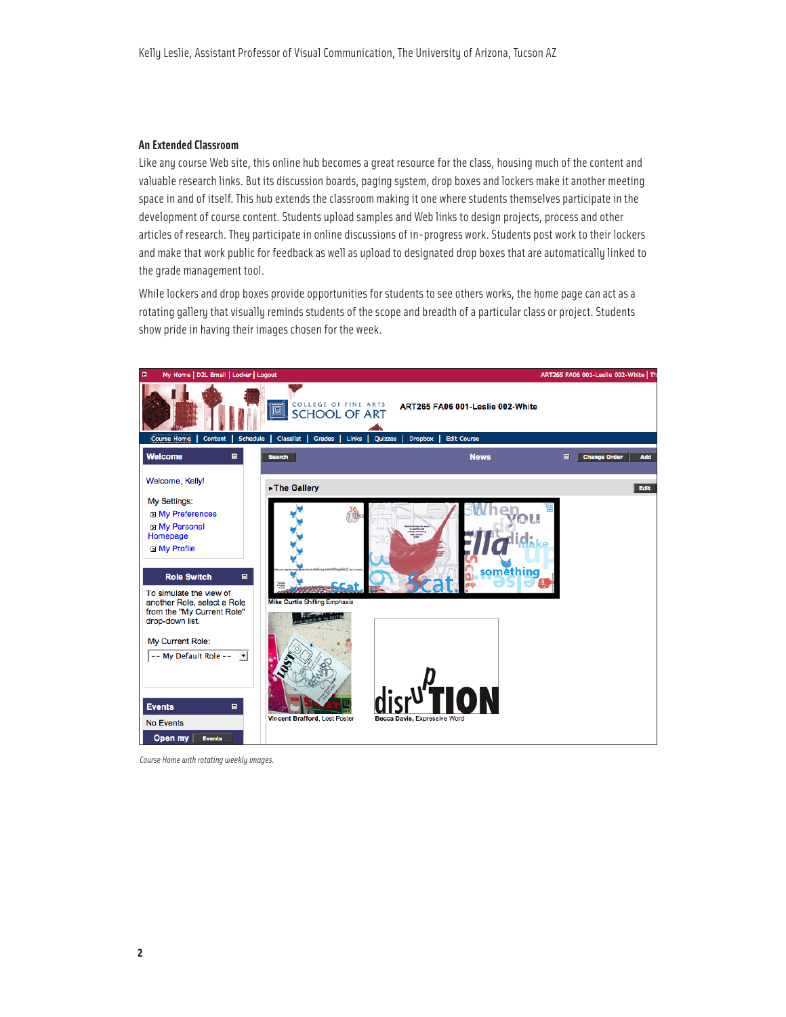#### **An Extended Classroom**

Like any course Web site, this online hub becomes a great resource for the class, housing much of the content and valuable research links. But its discussion boards, paging system, drop boxes and lockers make it another meeting space in and of itself. This hub extends the classroom making it one where students themselves participate in the development of course content. Students upload samples and Web links to design projects, process and other articles of research. They participate in online discussions of in-progress work. Students post work to their lockers and make that work public for feedback as well as upload to designated drop boxes that are automatically linked to the grade management tool.

While lockers and drop boxes provide opportunities for students to see others works, the home page can act as a rotating gallery that visually reminds students of the scope and breadth of a particular class or project. Students show pride in having their images chosen for the week.



*Course Home with rotating weekly images.*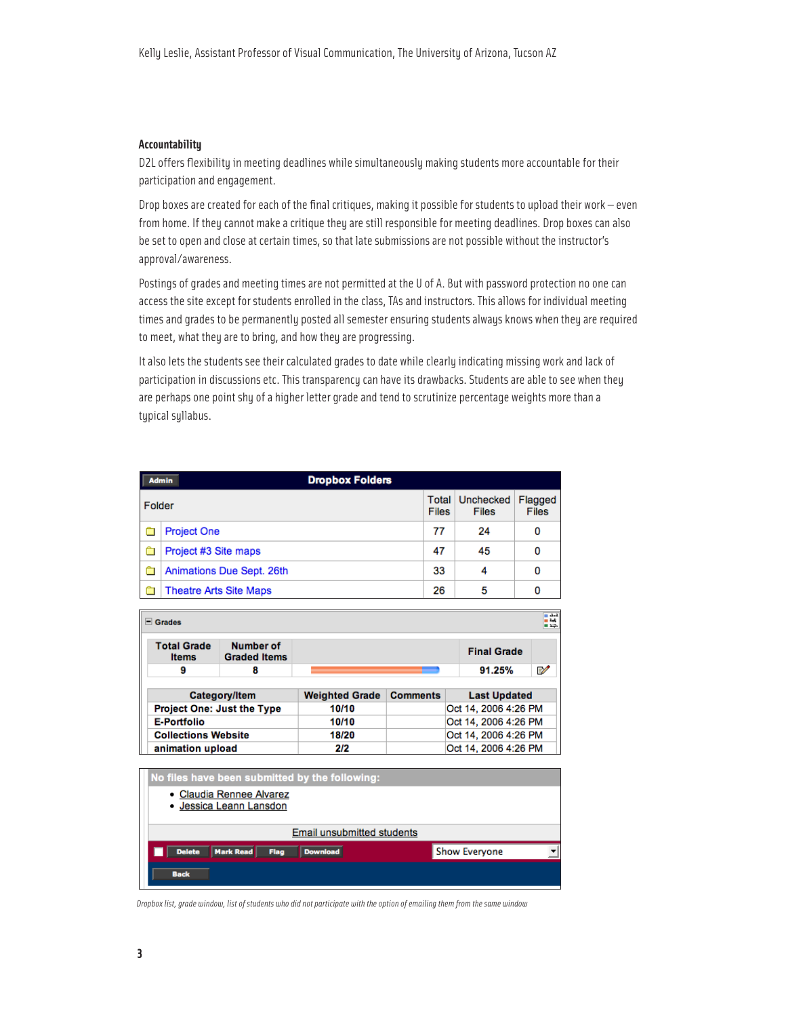#### **Accountability**

D2L offers flexibility in meeting deadlines while simultaneously making students more accountable for their participation and engagement.

Drop boxes are created for each of the final critiques, making it possible for students to upload their work — even from home. If they cannot make a critique they are still responsible for meeting deadlines. Drop boxes can also be set to open and close at certain times, so that late submissions are not possible without the instructor's approval/awareness.

Postings of grades and meeting times are not permitted at the U of A. But with password protection no one can access the site except for students enrolled in the class, TAs and instructors. This allows for individual meeting times and grades to be permanently posted all semester ensuring students always knows when they are required to meet, what they are to bring, and how they are progressing.

It also lets the students see their calculated grades to date while clearly indicating missing work and lack of participation in discussions etc. This transparency can have its drawbacks. Students are able to see when they are perhaps one point shy of a higher letter grade and tend to scrutinize percentage weights more than a typical syllabus.

|        | <b>Dropbox Folders</b><br><b>Admin</b> |    |                                           |                         |  |
|--------|----------------------------------------|----|-------------------------------------------|-------------------------|--|
| Folder |                                        |    | <b>Unchecked</b><br><b>Total</b><br>Files | Flagged<br><b>Files</b> |  |
|        | <b>Project One</b>                     | 77 | 24                                        | 0                       |  |
|        | Project #3 Site maps                   | 47 | 45                                        | 0                       |  |
|        | Animations Due Sept. 26th              | 33 | 4                                         | 0                       |  |
|        | <b>Theatre Arts Site Maps</b>          | 26 | 5                                         | 0                       |  |

| 3.1<br>an a<br>$\Box$ Grades<br>m xia. |                                    |                                         |                       |                 |                      |   |
|----------------------------------------|------------------------------------|-----------------------------------------|-----------------------|-----------------|----------------------|---|
|                                        | <b>Total Grade</b><br><b>Items</b> | <b>Number of</b><br><b>Graded Items</b> |                       |                 | <b>Final Grade</b>   |   |
|                                        | 9                                  | 8                                       |                       |                 | 91.25%               | ₽ |
|                                        |                                    |                                         |                       |                 |                      |   |
|                                        |                                    | Category/Item                           | <b>Weighted Grade</b> | <b>Comments</b> | <b>Last Updated</b>  |   |
|                                        |                                    | <b>Project One: Just the Type</b>       | 10/10                 |                 | Oct 14, 2006 4:26 PM |   |
|                                        | <b>E-Portfolio</b>                 |                                         | 10/10                 |                 | Oct 14, 2006 4:26 PM |   |
|                                        | <b>Collections Website</b>         |                                         | 18/20                 |                 | Oct 14, 2006 4:26 PM |   |
|                                        | animation upload                   |                                         | 2/2                   |                 | Oct 14, 2006 4:26 PM |   |

| No files have been submitted by the following:               |                      |
|--------------------------------------------------------------|----------------------|
| • Claudia Rennee Alvarez<br>- Jessica Leann Lansdon          |                      |
| <b>Email unsubmitted students</b>                            |                      |
| <b>Mark Read</b><br><b>Delete</b><br><b>Download</b><br>Flag | <b>Show Everyone</b> |
| <b>Back</b>                                                  |                      |

*Dropbox list, grade window, list of students who did not participate with the option of emailing them from the same window*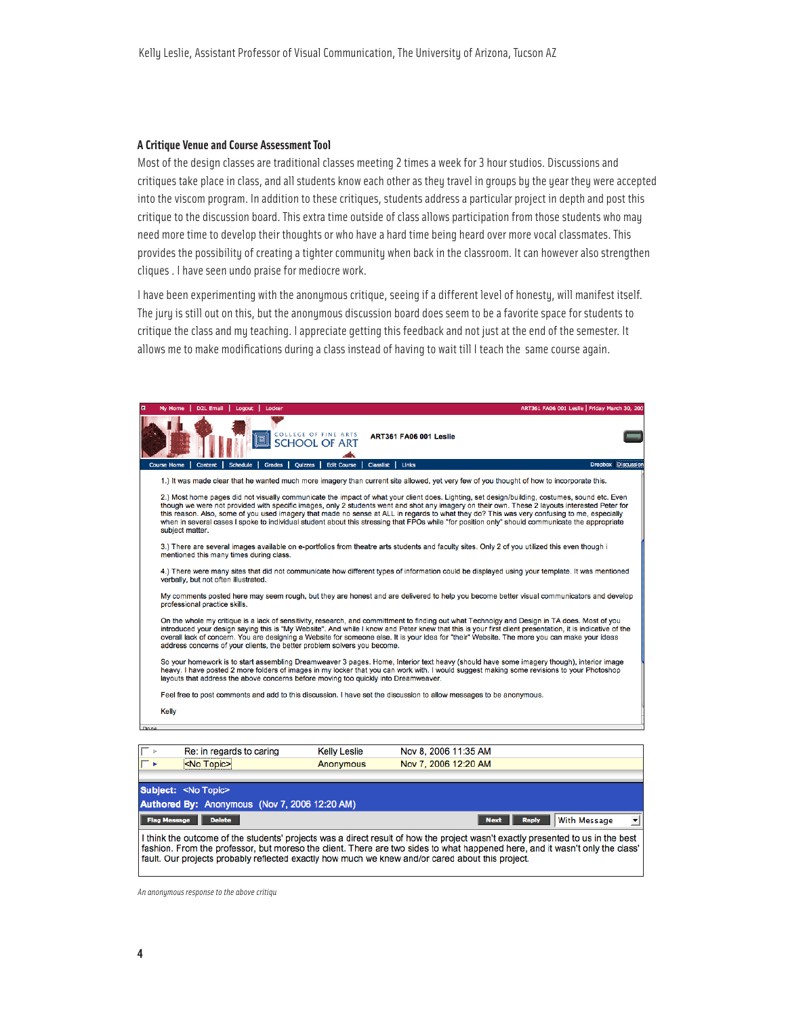#### **A Critique Venue and Course Assessment Tool**

Most of the design classes are traditional classes meeting 2 times a week for 3 hour studios. Discussions and critiques take place in class, and all students know each other as they travel in groups by the year they were accepted into the viscom program. In addition to these critiques, students address a particular project in depth and post this critique to the discussion board. This extra time outside of class allows participation from those students who may need more time to develop their thoughts or who have a hard time being heard over more vocal classmates. This provides the possibility of creating a tighter community when back in the classroom. It can however also strengthen cliques . I have seen undo praise for mediocre work.

I have been experimenting with the anonymous critique, seeing if a different level of honesty, will manifest itself. The jury is still out on this, but the anonymous discussion board does seem to be a favorite space for students to critique the class and my teaching. I appreciate getting this feedback and not just at the end of the semester. It allows me to make modifications during a class instead of having to wait till I teach the same course again.

| $\blacksquare$ | ART361 FA06 001 Leslie   Friday March 30, 200<br><b>D2L Email</b><br>Logout<br>Locker<br>My Home                                                                                                                                                                                                                                                                                                                                                                                                                                                                                                                      |                           |
|----------------|-----------------------------------------------------------------------------------------------------------------------------------------------------------------------------------------------------------------------------------------------------------------------------------------------------------------------------------------------------------------------------------------------------------------------------------------------------------------------------------------------------------------------------------------------------------------------------------------------------------------------|---------------------------|
|                | COLLEGE OF FINE ARTS<br><b>ART361 FA06 001 Leslie</b><br>画                                                                                                                                                                                                                                                                                                                                                                                                                                                                                                                                                            |                           |
|                | <b>Grades</b><br>Classilst<br>Links<br><b>Course Home</b><br>Content<br><b>Schedule</b><br><b>Quizzes</b><br><b>Edit Course</b>                                                                                                                                                                                                                                                                                                                                                                                                                                                                                       | <b>Dropbox Discussion</b> |
|                | 1.) It was made clear that he wanted much more imagery than current site allowed, yet very few of you thought of how to incorporate this.                                                                                                                                                                                                                                                                                                                                                                                                                                                                             |                           |
|                | 2.) Most home pages did not visually communicate the impact of what your client does. Lighting, set design/building, costumes, sound etc. Even<br>though we were not provided with specific images, only 2 students went and shot any imagery on their own. These 2 layouts interested Peter for<br>this reason. Also, some of you used imagery that made no sense at ALL in regards to what they do? This was very confusing to me, especially<br>when in several cases I spoke to individual student about this stressing that FPOs while "for position only" should communicate the appropriate<br>subject matter. |                           |
|                | 3.) There are several images available on e-portfolios from theatre arts students and faculty sites. Only 2 of you utilized this even though i<br>mentioned this many times during class.                                                                                                                                                                                                                                                                                                                                                                                                                             |                           |
|                | 4.) There were many sites that did not communicate how different types of information could be displayed using your template. It was mentioned<br>verbally, but not often illustrated.                                                                                                                                                                                                                                                                                                                                                                                                                                |                           |
|                | My comments posted here may seem rough, but they are honest and are delivered to help you become better visual communicators and develop<br>professional practice skills.                                                                                                                                                                                                                                                                                                                                                                                                                                             |                           |
|                | On the whole my critique is a lack of sensitivity, research, and committment to finding out what Technolgy and Design in TA does. Most of you<br>introduced your design saying this is "My Website". And while I know and Peter knew that this is your first client presentation, it is indicative of the<br>overall lack of concern. You are designing a Website for someone else. It is your idea for "their" Website. The more you can make your ideas<br>address concerns of your clients, the better problem solvers you become.                                                                                 |                           |
|                | So your homework is to start assembling Dreamweaver 3 pages. Home, Interior text heavy (should have some imagery though), interior image<br>heavy. I have posted 2 more folders of images in my locker that you can work with. I would suggest making some revisions to your Photoshop<br>layouts that address the above concerns before moving too quickly into Dreamweaver.                                                                                                                                                                                                                                         |                           |
|                | Feel free to post comments and add to this discussion. I have set the discussion to allow messages to be anonymous.                                                                                                                                                                                                                                                                                                                                                                                                                                                                                                   |                           |
|                | <b>Kelly</b>                                                                                                                                                                                                                                                                                                                                                                                                                                                                                                                                                                                                          |                           |
| Done           |                                                                                                                                                                                                                                                                                                                                                                                                                                                                                                                                                                                                                       |                           |
|                |                                                                                                                                                                                                                                                                                                                                                                                                                                                                                                                                                                                                                       |                           |
|                | Nov 8, 2006 11:35 AM<br><b>Kelly Leslie</b><br>Re: in regards to caring                                                                                                                                                                                                                                                                                                                                                                                                                                                                                                                                               |                           |
|                | <no topic=""><br/>Nov 7, 2006 12:20 AM<br/>Anonymous</no>                                                                                                                                                                                                                                                                                                                                                                                                                                                                                                                                                             |                           |

| <no topic=""></no>                                                                                                                                                                                                                                                                                                                                                  | Anonymous | Nov 7, 2006 12:20 AM |              |                     |   |
|---------------------------------------------------------------------------------------------------------------------------------------------------------------------------------------------------------------------------------------------------------------------------------------------------------------------------------------------------------------------|-----------|----------------------|--------------|---------------------|---|
| Subject: < No Topic><br>Authored By: Anonymous (Nov 7, 2006 12:20 AM)                                                                                                                                                                                                                                                                                               |           |                      |              |                     |   |
| <b>Flag Message</b><br><b>Delete</b>                                                                                                                                                                                                                                                                                                                                |           | <b>Next</b>          | <b>Reply</b> | <b>With Message</b> | ▾ |
| I think the outcome of the students' projects was a direct result of how the project wasn't exactly presented to us in the best<br>fashion. From the professor, but moreso the client. There are two sides to what happened here, and it wasn't only the class'<br>fault. Our projects probably reflected exactly how much we knew and/or cared about this project. |           |                      |              |                     |   |

*An anonymous response to the above critiqu*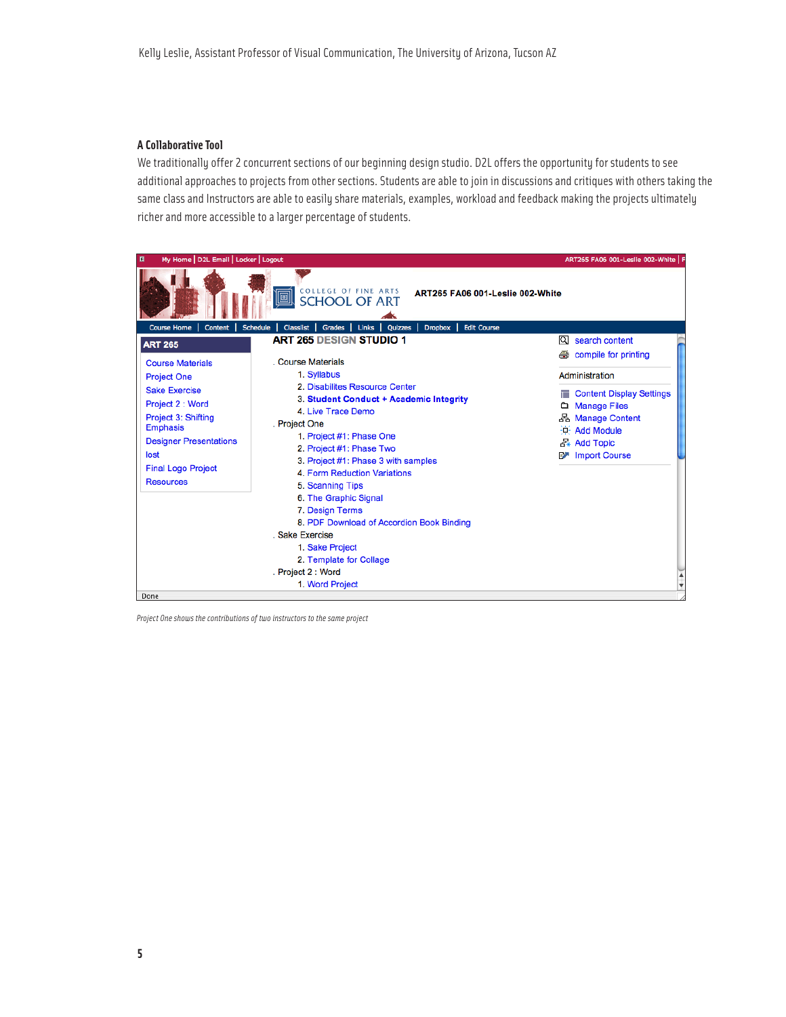### **A Collaborative Tool**

We traditionally offer 2 concurrent sections of our beginning design studio. D2L offers the opportunity for students to see additional approaches to projects from other sections. Students are able to join in discussions and critiques with others taking the same class and Instructors are able to easily share materials, examples, workload and feedback making the projects ultimately richer and more accessible to a larger percentage of students.

| My Home   D2L Email   Locker   Logout<br>目                                                                                                                                                                                            |                                                                                                                                                                                                                                                                                                                                                                                                                                                                                                           | ART265 FA06 001-Leslie 002-White   F                                                                                                                                                                |
|---------------------------------------------------------------------------------------------------------------------------------------------------------------------------------------------------------------------------------------|-----------------------------------------------------------------------------------------------------------------------------------------------------------------------------------------------------------------------------------------------------------------------------------------------------------------------------------------------------------------------------------------------------------------------------------------------------------------------------------------------------------|-----------------------------------------------------------------------------------------------------------------------------------------------------------------------------------------------------|
|                                                                                                                                                                                                                                       | <b>COLLEGE OF FINE ARTS</b><br>ART265 FA06 001-Leslie 002-White<br>阃<br><b>SCHOOL OF ART</b>                                                                                                                                                                                                                                                                                                                                                                                                              |                                                                                                                                                                                                     |
| <b>Course Home</b><br><b>Schedule</b><br><b>Content</b>                                                                                                                                                                               | <b>Dropbox</b><br><b>Edit Course</b><br>Classilst  <br><b>Grades</b><br>Links  <br>Quizzes                                                                                                                                                                                                                                                                                                                                                                                                                |                                                                                                                                                                                                     |
| <b>ART 265</b>                                                                                                                                                                                                                        | <b>ART 265 DESIGN STUDIO 1</b>                                                                                                                                                                                                                                                                                                                                                                                                                                                                            | Q.<br>search content                                                                                                                                                                                |
| <b>Course Materials</b><br><b>Project One</b><br><b>Sake Exercise</b><br>Project 2 : Word<br>Project 3: Shifting<br><b>Emphasis</b><br><b>Designer Presentations</b><br>lost<br><b>Final Logo Project</b><br><b>Resources</b><br>Done | Course Materials<br>1. Syllabus<br>2. Disabilites Resource Center<br>3. Student Conduct + Academic Integrity<br>4. Live Trace Demo<br>. Project One<br>1. Project #1: Phase One<br>2. Project #1: Phase Two<br>3. Project #1: Phase 3 with samples<br>4. Form Reduction Variations<br>5. Scanning Tips<br>6. The Graphic Signal<br>7. Design Terms<br>8. PDF Download of Accordion Book Binding<br>. Sake Exercise<br>1. Sake Project<br>2. Template for Collage<br>. Project 2 : Word<br>1. Word Project | compile for printing<br>Administration<br><b>Content Display Settings</b><br><b>Manage Files</b><br>Ô.<br>옵 Manage Content<br>$\frac{1}{2}$ Add Module<br>공 Add Topic<br><b>Import Course</b><br>F. |

*Project One shows the contributions of two instructors to the same project*